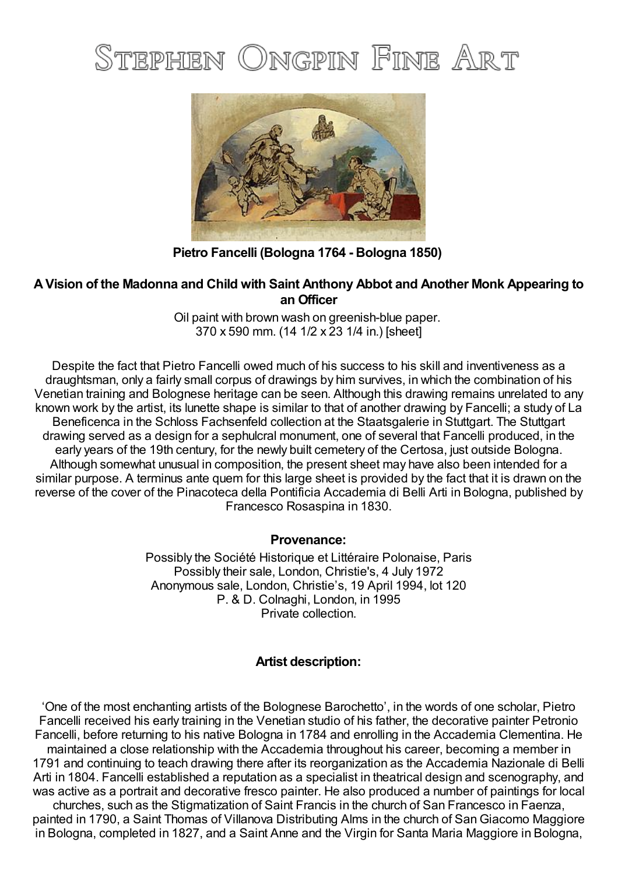# STEPHEN ONGPIN FINE ART



**Pietro Fancelli (Bologna 1764 - Bologna 1850)**

## **AVision of the Madonna and Child with Saint Anthony Abbot and Another Monk Appearing to an Officer**

Oil paint with brown wash on greenish-blue paper. 370 x 590 mm. (14 1/2 x 23 1/4 in.) [sheet]

Despite the fact that Pietro Fancelli owed much of his success to his skill and inventiveness as a draughtsman, only a fairly small corpus of drawings by him survives, in which the combination of his Venetian training and Bolognese heritage can be seen. Although this drawing remains unrelated to any known work by the artist, its lunette shape is similar to that of another drawing by Fancelli; a study of La Beneficenca in the Schloss Fachsenfeld collection at the Staatsgalerie in Stuttgart. The Stuttgart drawing served as a design for a sephulcral monument, one of several that Fancelli produced, in the early years of the 19th century, for the newly built cemetery of the Certosa, just outside Bologna. Although somewhat unusual in composition, the present sheet may have also been intended for a similar purpose. A terminus ante quem for this large sheet is provided by the fact that it is drawn on the reverse of the cover of the Pinacoteca della Pontificia Accademia di Belli Arti in Bologna, published by Francesco Rosaspina in 1830.

## **Provenance:**

Possibly the Société Historique et Littéraire Polonaise, Paris Possibly their sale, London, Christie's, 4 July 1972 Anonymous sale, London, Christie's, 19 April 1994, lot 120 P. & D. Colnaghi, London, in 1995 Private collection.

## **Artist description:**

'One of the most enchanting artists of the Bolognese Barochetto', in the words of one scholar, Pietro Fancelli received his early training in the Venetian studio of his father, the decorative painter Petronio Fancelli, before returning to his native Bologna in 1784 and enrolling in the Accademia Clementina. He maintained a close relationship with the Accademia throughout his career, becoming a member in 1791 and continuing to teach drawing there after its reorganization as the Accademia Nazionale di Belli Arti in 1804. Fancelli established a reputation as a specialist in theatrical design and scenography, and was active as a portrait and decorative fresco painter. He also produced a number of paintings for local

churches, such as the Stigmatization of Saint Francis in the church of San Francesco in Faenza, painted in 1790, a Saint Thomas of Villanova Distributing Alms in the church of SanGiacomo Maggiore in Bologna, completed in 1827, and a Saint Anne and the Virgin for Santa Maria Maggiore in Bologna,